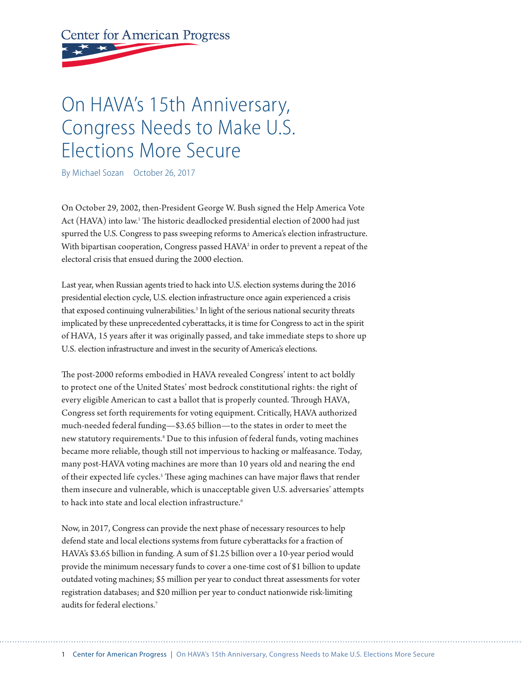# <span id="page-0-0"></span>**Center for American Progress**

## On HAVA's 15th Anniversary, Congress Needs to Make U.S. Elections More Secure

By Michael Sozan October 26, 2017

On October 29, 2002, then-President George W. Bush signed the Help America Vote Act (HAVA) into law.<sup>[1](#page-5-0)</sup> The historic deadlocked presidential election of 2000 had just spurred the U.S. Congress to pass sweeping reforms to America's election infrastructure. With bipartisan cooperation, Congress passed HAVA<sup>2</sup> in order to prevent a repeat of the electoral crisis that ensued during the 2000 election.

Last year, when Russian agents tried to hack into U.S. election systems during the 2016 presidential election cycle, U.S. election infrastructure once again experienced a crisis that exposed continuing vulnerabilities.<sup>3</sup> In light of the serious national security threats implicated by these unprecedented cyberatacks, it is time for Congress to act in the spirit of HAVA, 15 years afer it was originally passed, and take immediate steps to shore up U.S. election infrastructure and invest in the security of America's elections.

The post-2000 reforms embodied in HAVA revealed Congress' intent to act boldly to protect one of the United States' most bedrock constitutional rights: the right of every eligible American to cast a ballot that is properly counted. Through HAVA, Congress set forth requirements for voting equipment. Critically, HAVA authorized much-needed federal funding—\$3.65 billion—to the states in order to meet the new statutory requirements.[4](#page-5-0) Due to this infusion of federal funds, voting machines became more reliable, though still not impervious to hacking or malfeasance. Today, many post-HAVA voting machines are more than 10 years old and nearing the end of their expected life cycles.<sup>[5](#page-5-0)</sup> These aging machines can have major flaws that render them insecure and vulnerable, which is unacceptable given U.S. adversaries' atempts to hack into state and local election infrastructure.<sup>[6](#page-5-0)</sup>

Now, in 2017, Congress can provide the next phase of necessary resources to help defend state and local elections systems from future cyberatacks for a fraction of HAVA's \$3.65 billion in funding. A sum of \$1.25 billion over a 10-year period would provide the minimum necessary funds to cover a one-time cost of \$1 billion to update outdated voting machines; \$5 million per year to conduct threat assessments for voter registration databases; and \$20 million per year to conduct nationwide risk-limiting audits for federal elections.[7](#page-5-0)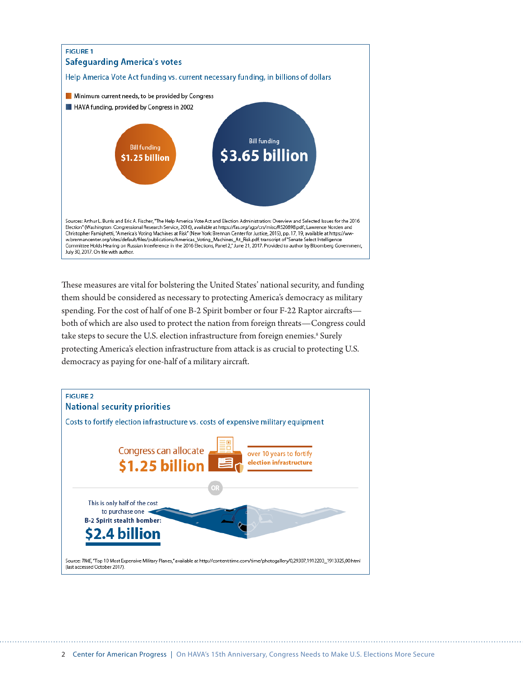<span id="page-1-0"></span>

These measures are vital for bolstering the United States' national security, and funding them should be considered as necessary to protecting America's democracy as military spending. For the cost of half of one B-2 Spirit bomber or four F-22 Raptor aircrafs both of which are also used to protect the nation from foreign threats—Congress could take steps to secure the U.S. election infrastructure from foreign enemies.<sup>[8](#page-5-0)</sup> Surely protecting America's election infrastructure from atack is as crucial to protecting U.S. democracy as paying for one-half of a military aircraf.

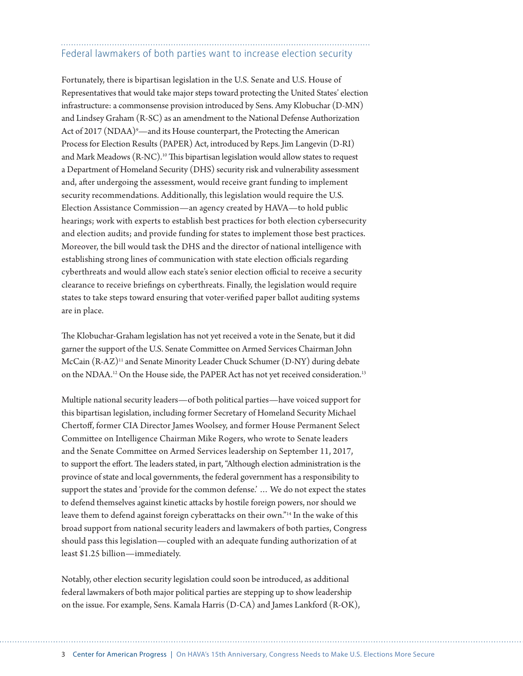### <span id="page-2-0"></span>Federal lawmakers of both parties want to increase election security

Fortunately, there is bipartisan legislation in the U.S. Senate and U.S. House of Representatives that would take major steps toward protecting the United States' election infrastructure: a commonsense provision introduced by Sens. Amy Klobuchar (D-MN) and Lindsey Graham (R-SC) as an amendment to the National Defense Authorization Act of 2017 (NDAA)°—and its House counterpart, the Protecting the American Process for Election Results (PAPER) Act, introduced by Reps. Jim Langevin (D-RI) and Mark Meadows (R-NC).<sup>10</sup> This bipartisan legislation would allow states to request a Department of Homeland Security (DHS) security risk and vulnerability assessment and, afer undergoing the assessment, would receive grant funding to implement security recommendations. Additionally, this legislation would require the U.S. Election Assistance Commission—an agency created by HAVA—to hold public hearings; work with experts to establish best practices for both election cybersecurity and election audits; and provide funding for states to implement those best practices. Moreover, the bill would task the DHS and the director of national intelligence with establishing strong lines of communication with state election officials regarding cyberthreats and would allow each state's senior election official to receive a security clearance to receive briefngs on cyberthreats. Finally, the legislation would require states to take steps toward ensuring that voter-verifed paper ballot auditing systems are in place.

The Klobuchar-Graham legislation has not yet received a vote in the Senate, but it did garner the support of the U.S. Senate Commitee on Armed Services Chairman John McCain (R-AZ)<sup>11</sup> and Senate Minority Leader Chuck Schumer (D-NY) during debate on the NDAA.<sup>[12](#page-5-0)</sup> On the House side, the PAPER Act has not yet received consideration.<sup>13</sup>

Multiple national security leaders—of both political parties—have voiced support for this bipartisan legislation, including former Secretary of Homeland Security Michael Chertof, former CIA Director James Woolsey, and former House Permanent Select Commitee on Intelligence Chairman Mike Rogers, who wrote to Senate leaders and the Senate Commitee on Armed Services leadership on September 11, 2017, to support the effort. The leaders stated, in part, "Although election administration is the province of state and local governments, the federal government has a responsibility to support the states and 'provide for the common defense.' … We do not expect the states to defend themselves against kinetic atacks by hostile foreign powers, nor should we leave them to defend against foreign cyberattacks on their own."<sup>[14](#page-5-0)</sup> In the wake of this broad support from national security leaders and lawmakers of both parties, Congress should pass this legislation—coupled with an adequate funding authorization of at least \$1.25 billion—immediately.

Notably, other election security legislation could soon be introduced, as additional federal lawmakers of both major political parties are stepping up to show leadership on the issue. For example, Sens. Kamala Harris (D-CA) and James Lankford (R-OK),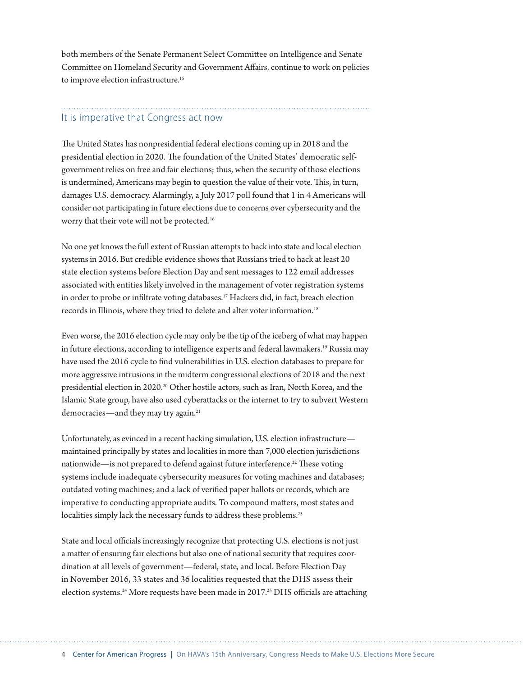<span id="page-3-0"></span>both members of the Senate Permanent Select Commitee on Intelligence and Senate Commitee on Homeland Security and Government Afairs, continue to work on policies to improve election infrastructure.<sup>15</sup>

#### It is imperative that Congress act now

The United States has nonpresidential federal elections coming up in 2018 and the presidential election in 2020. The foundation of the United States' democratic selfgovernment relies on free and fair elections; thus, when the security of those elections is undermined, Americans may begin to question the value of their vote. This, in turn, damages U.S. democracy. Alarmingly, a July 2017 poll found that 1 in 4 Americans will consider not participating in future elections due to concerns over cybersecurity and the worry that their vote will not be protected.[16](#page-5-0)

No one yet knows the full extent of Russian atempts to hack into state and local election systems in 2016. But credible evidence shows that Russians tried to hack at least 20 state election systems before Election Day and sent messages to 122 email addresses associated with entities likely involved in the management of voter registration systems in order to probe or infiltrate voting databases.<sup>17</sup> Hackers did, in fact, breach election records in Illinois, where they tried to delete and alter voter information.<sup>18</sup>

Even worse, the 2016 election cycle may only be the tip of the iceberg of what may happen in future elections, according to intelligence experts and federal lawmakers.[19](#page-5-0) Russia may have used the 2016 cycle to fnd vulnerabilities in U.S. election databases to prepare for more aggressive intrusions in the midterm congressional elections of 2018 and the next presidential election in 2020.[20](#page-5-0) Other hostile actors, such as Iran, North Korea, and the Islamic State group, have also used cyberatacks or the internet to try to subvert Western democracies—and they may try again.<sup>21</sup>

Unfortunately, as evinced in a recent hacking simulation, U.S. election infrastructure maintained principally by states and localities in more than 7,000 election jurisdictions nationwide—is not prepared to defend against future interference.<sup>22</sup> These voting systems include inadequate cybersecurity measures for voting machines and databases; outdated voting machines; and a lack of verifed paper ballots or records, which are imperative to conducting appropriate audits. To compound maters, most states and localities simply lack the necessary funds to address these problems.<sup>[23](#page-6-0)</sup>

State and local officials increasingly recognize that protecting U.S. elections is not just a mater of ensuring fair elections but also one of national security that requires coordination at all levels of government—federal, state, and local. Before Election Day in November 2016, 33 states and 36 localities requested that the DHS assess their election systems.<sup>[24](#page-6-0)</sup> More requests have been made in 2017.<sup>[25](#page-6-0)</sup> DHS officials are attaching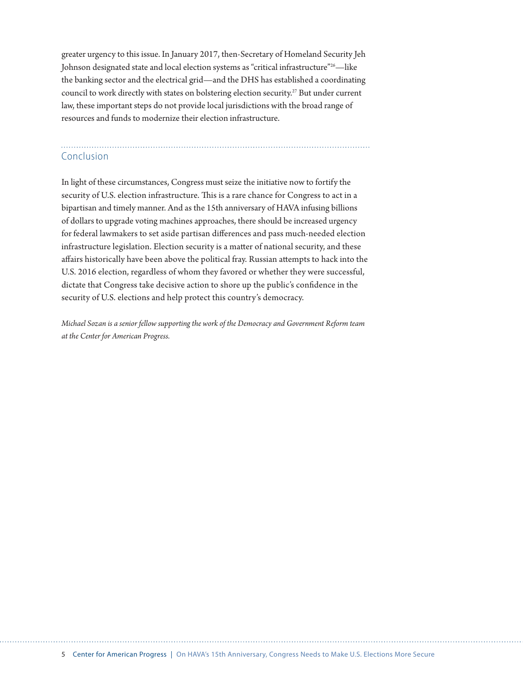<span id="page-4-0"></span>greater urgency to this issue. In January 2017, then-Secretary of Homeland Security Jeh Johnson designated state and local election systems as "critical infrastructure["26](#page-6-0)—like the banking sector and the electrical grid—and the DHS has established a coordinating council to work directly with states on bolstering election security[.27](#page-6-0) But under current law, these important steps do not provide local jurisdictions with the broad range of resources and funds to modernize their election infrastructure.

## Conclusion

In light of these circumstances, Congress must seize the initiative now to fortify the security of U.S. election infrastructure. This is a rare chance for Congress to act in a bipartisan and timely manner. And as the 15th anniversary of HAVA infusing billions of dollars to upgrade voting machines approaches, there should be increased urgency for federal lawmakers to set aside partisan diferences and pass much-needed election infrastructure legislation. Election security is a mater of national security, and these afairs historically have been above the political fray. Russian atempts to hack into the U.S. 2016 election, regardless of whom they favored or whether they were successful, dictate that Congress take decisive action to shore up the public's confdence in the security of U.S. elections and help protect this country's democracy.

*Michael Sozan is a senior fellow supporting the work of the Democracy and Government Reform team at the Center for American Progress.*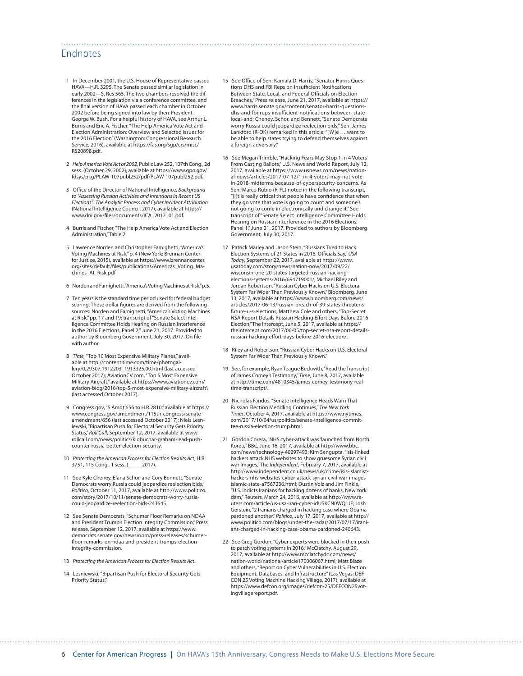#### <span id="page-5-0"></span>Endnotes

- [1](#page-0-0) In December 2001, the U.S. House of Representative passed HAVA—H.R. 3295. The Senate passed similar legislation in early 2002—S. Res 565. The two chambers resolved the differences in the legislation via a conference committee, and the fnal version of HAVA passed each chamber in October 2002 before being signed into law by then-President George W. Bush. For a helpful history of HAVA, see Arthur L. Burris and Eric A. Fischer, "The Help America Vote Act and Election Administration: Overview and Selected Issues for the 2016 Election" (Washington: Congressional Research Service, 2016), available at [https://fas.org/sgp/crs/misc/](https://fas.org/sgp/crs/misc/RS20898.pdf) [RS20898.pdf.](https://fas.org/sgp/crs/misc/RS20898.pdf)
- [2](#page-0-0) *Help America Vote Act of 2002*, Public Law 252, 107th Cong., 2d sess. (October 29, 2002), available at [https://www.gpo.gov/](https://www.gpo.gov/fdsys/pkg/PLAW-107publ252/pdf/PLAW-107publ252.pdf) [fdsys/pkg/PLAW-107publ252/pdf/PLAW-107publ252.pdf.](https://www.gpo.gov/fdsys/pkg/PLAW-107publ252/pdf/PLAW-107publ252.pdf)
- [3](#page-0-0) Office of the Director of National Intelligence, *Background to "Assessing Russian Activities and Intentions in Recent US Elections": The Analytic Process and Cyber Incident Attribution* (National Intelligence Council, 2017), available at [https://](https://www.dni.gov/files/documents/ICA_2017_01.pdf) www.dni.gov/f[les/documents/ICA\\_2017\\_01.pdf](https://www.dni.gov/files/documents/ICA_2017_01.pdf).
- [4](#page-0-0) Burris and Fischer, "The Help America Vote Act and Election Administration," Table 2.
- [5](#page-0-0) Lawrence Norden and Christopher Famighetti, "America's Voting Machines at Risk," p. 4 (New York: Brennan Center for Justice, 2015), available at [https://www.brennancenter.](https://www.brennancenter.org/sites/default/files/publications/Americas_Voting_Machines_At_Risk.pdf) org/sites/default/f[les/publications/Americas\\_Voting\\_Ma](https://www.brennancenter.org/sites/default/files/publications/Americas_Voting_Machines_At_Risk.pdf)[chines\\_At\\_Risk.pdf](https://www.brennancenter.org/sites/default/files/publications/Americas_Voting_Machines_At_Risk.pdf)
- [6](#page-0-0) Norden and Famighetti, "America's Voting Machines at Risk," p. 5.
- [7](#page-0-0) Ten years is the standard time period used for federal budget scoring. These dollar fgures are derived from the following sources: Norden and Famighetti, "America's Voting Machines at Risk," pp. 17 and 19; transcript of "Senate Select Intelligence Committee Holds Hearing on Russian Interference in the 2016 Elections, Panel 2," June 21, 2017. Provided to author by Bloomberg Government, July 30, 2017. On fle with author.
- [8](#page-1-0) *Time,* "Top 10 Most Expensive Military Planes," available at [http://content.time.com/time/photogal](http://content.time.com/time/photogallery/0,29307,1912203_1913325,00.html)[lery/0,29307,1912203\\_1913325,00.html](http://content.time.com/time/photogallery/0,29307,1912203_1913325,00.html) (last accessed October 2017); AviationCV.com, "Top 5 Most Expensive Military Aircraft," available at [https://www.aviationcv.com/](https://www.aviationcv.com/aviation-blog/2016/top-5-most-expensive-military-aircraft/) [aviation-blog/2016/top-5-most-expensive-military-aircraft\](https://www.aviationcv.com/aviation-blog/2016/top-5-most-expensive-military-aircraft/) (last accessed October 2017).
- [9](#page-2-0) Congress.gov, "S.Amdt.656 to H.R.2810," available at [https://](https://www.congress.gov/amendment/115th-congress/senate-amendment/656) [www.congress.gov/amendment/115th-congress/senate](https://www.congress.gov/amendment/115th-congress/senate-amendment/656)[amendment/656](https://www.congress.gov/amendment/115th-congress/senate-amendment/656) (last accessed October 2017); Niels Lesniewski, "Bipartisan Push for Electoral Security Gets Priority Status," *Roll Call*, September 12, 2017, available at [www.](http://www.rollcall.com/news/politics/klobuchar-graham-lead-push-counter-russia-better-election-security) [rollcall.com/news/politics/klobuchar-graham-lead-push](http://www.rollcall.com/news/politics/klobuchar-graham-lead-push-counter-russia-better-election-security)[counter-russia-better-election-security](http://www.rollcall.com/news/politics/klobuchar-graham-lead-push-counter-russia-better-election-security).
- [10](#page-2-0) *Protecting the American Process for Election Results Act*, H.R. 3751, 115 Cong., 1 sess. (
- [11](#page-2-0) See Kyle Cheney, Elana Schor, and Cory Bennett, "Senate Democrats worry Russia could jeopardize reelection bids," *Politico*, October 11, 2017, available at [http://www.politico.](http://www.politico.com/story/2017/10/11/senate-democrats-worry-russia-could-jeopardize-reelection-bids-243645) [com/story/2017/10/11/senate-democrats-worry-russia](http://www.politico.com/story/2017/10/11/senate-democrats-worry-russia-could-jeopardize-reelection-bids-243645)[could-jeopardize-reelection-bids-243645.](http://www.politico.com/story/2017/10/11/senate-democrats-worry-russia-could-jeopardize-reelection-bids-243645)
- [12](#page-2-0) See Senate Democrats, "Schumer Floor Remarks on NDAA and President Trump's Election Integrity Commission," Press release, September 12, 2017, available at [https://www.](https://www.democrats.senate.gov/newsroom/press-releases/schumer-floor-remarks-on-ndaa-and-president-trumps-election-integrity-commission) [democrats.senate.gov/newsroom/press-releases/schumer](https://www.democrats.senate.gov/newsroom/press-releases/schumer-floor-remarks-on-ndaa-and-president-trumps-election-integrity-commission)f[oor-remarks-on-ndaa-and-president-trumps-election](https://www.democrats.senate.gov/newsroom/press-releases/schumer-floor-remarks-on-ndaa-and-president-trumps-election-integrity-commission)[integrity-commission.](https://www.democrats.senate.gov/newsroom/press-releases/schumer-floor-remarks-on-ndaa-and-president-trumps-election-integrity-commission)
- [13](#page-2-0) *Protecting the American Process for Election Results Act*.
- [14](#page-2-0) Lesniewski, "Bipartisan Push for Electoral Security Gets Priority Status."

[15](#page-3-0) See Office of Sen. Kamala D. Harris, "Senator Harris Questions DHS and FBI Reps on Insufficient Notifications Between State, Local, and Federal Officials on Election Breaches," Press release, June 21, 2017, available at [https://](https://www.harris.senate.gov/content/senator-harris-questions-dhs-and-fbi-reps-insufficient-notifications-between-state-local-and) [www.harris.senate.gov/content/senator-harris-questions](https://www.harris.senate.gov/content/senator-harris-questions-dhs-and-fbi-reps-insufficient-notifications-between-state-local-and)dhs-and-fbi-reps-insufcient-notif[cations-between-state](https://www.harris.senate.gov/content/senator-harris-questions-dhs-and-fbi-reps-insufficient-notifications-between-state-local-and)[local-and;](https://www.harris.senate.gov/content/senator-harris-questions-dhs-and-fbi-reps-insufficient-notifications-between-state-local-and) Cheney, Schor, and Bennett, "Senate Democrats worry Russia could jeopardize reelection bids." Sen. James Lankford (R-OK) remarked in this article, "[W]e … want to be able to help states trying to defend themselves against a foreign adversary."

- [16](#page-3-0) See Megan Trimble, "Hacking Fears May Stop 1 in 4 Voters From Casting Ballots," U.S. News and World Report, July 12, 2017, available at [https://www.usnews.com/news/nation](https://www.usnews.com/news/national-news/articles/2017-07-12/1-in-4-voters-may-not-vote-in-2018-midterms-because-of-cybersecurity-concerns)[al-news/articles/2017-07-12/1-in-4-voters-may-not-vote](https://www.usnews.com/news/national-news/articles/2017-07-12/1-in-4-voters-may-not-vote-in-2018-midterms-because-of-cybersecurity-concerns)[in-2018-midterms-because-of-cybersecurity-concerns](https://www.usnews.com/news/national-news/articles/2017-07-12/1-in-4-voters-may-not-vote-in-2018-midterms-because-of-cybersecurity-concerns). As Sen. Marco Rubio (R-FL) noted in the following transcript, "[I]t is really critical that people have confdence that when they go vote that vote is going to count and someone's not going to come in electronically and change it." See transcript of "Senate Select Intelligence Committee Holds Hearing on Russian Interference in the 2016 Elections, Panel 1," June 21, 2017. Provided to authors by Bloomberg Government, July 30, 2017.
- [17](#page-3-0) Patrick Marley and Jason Stein, "Russians Tried to Hack Election Systems of 21 States in 2016, Officials Say," USA *Today*, September 22, 2017, available at [https://www.](https://www.usatoday.com/story/news/nation-now/2017/09/22/wisconsin-one-20-states-targeted-russian-hacking-elections-systems-2016/694719001/) [usatoday.com/story/news/nation-now/2017/09/22/](https://www.usatoday.com/story/news/nation-now/2017/09/22/wisconsin-one-20-states-targeted-russian-hacking-elections-systems-2016/694719001/) [wisconsin-one-20-states-targeted-russian-hacking](https://www.usatoday.com/story/news/nation-now/2017/09/22/wisconsin-one-20-states-targeted-russian-hacking-elections-systems-2016/694719001/)[elections-systems-2016/694719001/](https://www.usatoday.com/story/news/nation-now/2017/09/22/wisconsin-one-20-states-targeted-russian-hacking-elections-systems-2016/694719001/); Michael Riley and Jordan Robertson, "Russian Cyber Hacks on U.S. Electoral System Far Wider Than Previously Known," Bloomberg, June 13, 2017, available at [https://www.bloomberg.com/news/](https://www.bloomberg.com/news/articles/2017-06-13/russian-breach-of-39-states-threatens-future-u-s-elections) [articles/2017-06-13/russian-breach-of-39-states-threatens](https://www.bloomberg.com/news/articles/2017-06-13/russian-breach-of-39-states-threatens-future-u-s-elections)[future-u-s-elections;](https://www.bloomberg.com/news/articles/2017-06-13/russian-breach-of-39-states-threatens-future-u-s-elections) Matthew Cole and others, "Top-Secret NSA Report Details Russian Hacking Effort Days Before 2016 Election," The Intercept, June 5, 2017, available at [https://](https://theintercept.com/2017/06/05/top-secret-nsa-report-details-russian-hacking-effort-days-before-2016-election/) [theintercept.com/2017/06/05/top-secret-nsa-report-details](https://theintercept.com/2017/06/05/top-secret-nsa-report-details-russian-hacking-effort-days-before-2016-election/)russian-hacking-ef[ort-days-before-2016-election/.](https://theintercept.com/2017/06/05/top-secret-nsa-report-details-russian-hacking-effort-days-before-2016-election/)
- [18](#page-3-0) Riley and Robertson, "Russian Cyber Hacks on U.S. Electoral System Far Wider Than Previously Known."
- [19](#page-3-0) See, for example, Ryan Teague Beckwith, "Read the Transcript of James Comey's Testimony," *Time*, June 8, 2017, available at [http://time.com/4810345/james-comey-testimony-real](http://time.com/4810345/james-comey-testimony-real-time-transcript/)[time-transcript/.](http://time.com/4810345/james-comey-testimony-real-time-transcript/)
- [20](#page-3-0) Nicholas Fandos, "Senate Intelligence Heads Warn That Russian Election Meddling Continues," *The New York Times*, October 4, 2017, available at [https://www.nytimes.](https://www.nytimes.com/2017/10/04/us/politics/senate-intelligence-committee-russia-election-trump.html) [com/2017/10/04/us/politics/senate-intelligence-commit](https://www.nytimes.com/2017/10/04/us/politics/senate-intelligence-committee-russia-election-trump.html)[tee-russia-election-trump.html](https://www.nytimes.com/2017/10/04/us/politics/senate-intelligence-committee-russia-election-trump.html).
- [21](#page-3-0) Gordon Corera, "NHS cyber-attack was 'launched from North Korea,'" BBC, June 16, 2017, available at [http://www.bbc.](http://www.bbc.com/news/technology-40297493) [com/news/technology-40297493](http://www.bbc.com/news/technology-40297493); Kim Sengupta, "Isis-linked hackers attack NHS websites to show gruesome Syrian civil war images," The *Independent*, February 7, 2017, available at [http://www.independent.co.uk/news/uk/crime/isis-islamist](http://www.independent.co.uk/news/uk/crime/isis-islamist-hackers-nhs-websites-cyber-attack-syrian-civil-war-images-islamic-state-a7567236.html)[hackers-nhs-websites-cyber-attack-syrian-civil-war-images](http://www.independent.co.uk/news/uk/crime/isis-islamist-hackers-nhs-websites-cyber-attack-syrian-civil-war-images-islamic-state-a7567236.html)[islamic-state-a7567236.html;](http://www.independent.co.uk/news/uk/crime/isis-islamist-hackers-nhs-websites-cyber-attack-syrian-civil-war-images-islamic-state-a7567236.html) Dustin Volz and Jim Finkle, "U.S. indicts Iranians for hacking dozens of banks, New York dam," Reuters, March 24, 2016, available at [http://www.re](http://www.reuters.com/article/us-usa-iran-cyber-idUSKCN0WQ1JF)[uters.com/article/us-usa-iran-cyber-idUSKCN0WQ1JF;](http://www.reuters.com/article/us-usa-iran-cyber-idUSKCN0WQ1JF) Josh Gerstein, "2 Iranians charged in hacking case where Obama pardoned another," *Politico*, July 17, 2017, available at [http://](http://www.politico.com/blogs/under-the-radar/2017/07/17/iranians-charged-in-hacking-case-obama-pardoned-240643) [www.politico.com/blogs/under-the-radar/2017/07/17/irani](http://www.politico.com/blogs/under-the-radar/2017/07/17/iranians-charged-in-hacking-case-obama-pardoned-240643)[ans-charged-in-hacking-case-obama-pardoned-240643.](http://www.politico.com/blogs/under-the-radar/2017/07/17/iranians-charged-in-hacking-case-obama-pardoned-240643)
- [22](#page-3-0) See Grea Gordon, "Cyber experts were blocked in their push to patch voting systems in 2016," McClatchy, August 29, 2017, available at [http://www.mcclatchydc.com/news/](http://www.mcclatchydc.com/news/nation-world/national/article170006067.html) [nation-world/national/article170006067.html;](http://www.mcclatchydc.com/news/nation-world/national/article170006067.html) Matt Blaze and others, "Report on Cyber Vulnerabilities in U.S. Election Equipment, Databases, and Infrastructure" (Las Vegas: DEF-CON 25 Voting Machine Hacking Village, 2017), available at [https://www.defcon.org/images/defcon-25/DEFCON25vot](https://www.defcon.org/images/defcon-25/DEFCON25votingvillagereport.pdf)[ingvillagereport.pdf](https://www.defcon.org/images/defcon-25/DEFCON25votingvillagereport.pdf).